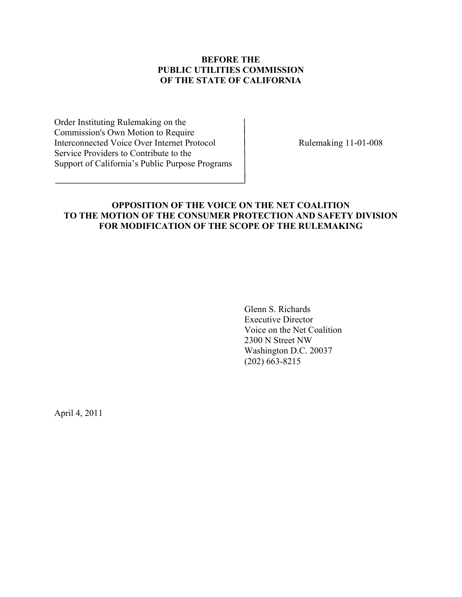# **BEFORE THE PUBLIC UTILITIES COMMISSION OF THE STATE OF CALIFORNIA**

Order Instituting Rulemaking on the Commission's Own Motion to Require Interconnected Voice Over Internet Protocol Rulemaking 11-01-008 Service Providers to Contribute to the Support of California's Public Purpose Programs

# **OPPOSITION OF THE VOICE ON THE NET COALITION TO THE MOTION OF THE CONSUMER PROTECTION AND SAFETY DIVISION FOR MODIFICATION OF THE SCOPE OF THE RULEMAKING**

 Glenn S. Richards Executive Director Voice on the Net Coalition 2300 N Street NW Washington D.C. 20037 (202) 663-8215

April 4, 2011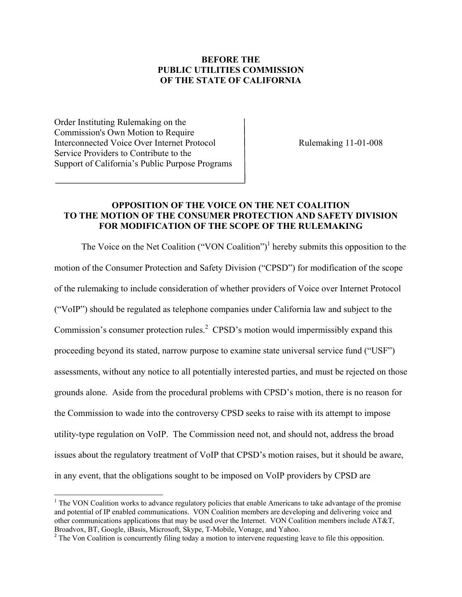# **BEFORE THE PUBLIC UTILITIES COMMISSION OF THE STATE OF CALIFORNIA**

Order Instituting Rulemaking on the Commission's Own Motion to Require Interconnected Voice Over Internet Protocol Rulemaking 11-01-008 Service Providers to Contribute to the Support of California's Public Purpose Programs

 $\overline{a}$ 

## **OPPOSITION OF THE VOICE ON THE NET COALITION TO THE MOTION OF THE CONSUMER PROTECTION AND SAFETY DIVISION FOR MODIFICATION OF THE SCOPE OF THE RULEMAKING**

The Voice on the Net Coalition ("VON Coalition")<sup>1</sup> hereby submits this opposition to the motion of the Consumer Protection and Safety Division ("CPSD") for modification of the scope of the rulemaking to include consideration of whether providers of Voice over Internet Protocol ("VoIP") should be regulated as telephone companies under California law and subject to the Commission's consumer protection rules.<sup>2</sup> CPSD's motion would impermissibly expand this proceeding beyond its stated, narrow purpose to examine state universal service fund ("USF") assessments, without any notice to all potentially interested parties, and must be rejected on those grounds alone. Aside from the procedural problems with CPSD's motion, there is no reason for the Commission to wade into the controversy CPSD seeks to raise with its attempt to impose utility-type regulation on VoIP. The Commission need not, and should not, address the broad issues about the regulatory treatment of VoIP that CPSD's motion raises, but it should be aware, in any event, that the obligations sought to be imposed on VoIP providers by CPSD are

 $<sup>1</sup>$  The VON Coalition works to advance regulatory policies that enable Americans to take advantage of the promise</sup> and potential of IP enabled communications. VON Coalition members are developing and delivering voice and other communications applications that may be used over the Internet. VON Coalition members include AT&T, Broadvox, BT, Google, iBasis, Microsoft, Skype, T-Mobile, Vonage, and Yahoo.

<sup>&</sup>lt;sup>2</sup> The Von Coalition is concurrently filing today a motion to intervene requesting leave to file this opposition.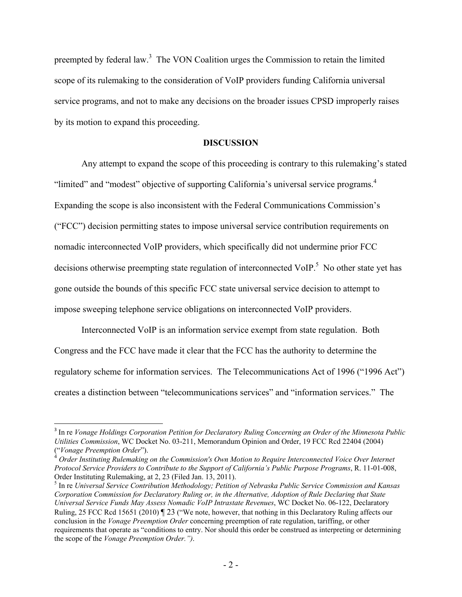preempted by federal law.<sup>3</sup> The VON Coalition urges the Commission to retain the limited scope of its rulemaking to the consideration of VoIP providers funding California universal service programs, and not to make any decisions on the broader issues CPSD improperly raises by its motion to expand this proceeding.

#### **DISCUSSION**

Any attempt to expand the scope of this proceeding is contrary to this rulemaking's stated "limited" and "modest" objective of supporting California's universal service programs.<sup>4</sup> Expanding the scope is also inconsistent with the Federal Communications Commission's ("FCC") decision permitting states to impose universal service contribution requirements on nomadic interconnected VoIP providers, which specifically did not undermine prior FCC decisions otherwise preempting state regulation of interconnected VoIP.<sup>5</sup> No other state yet has gone outside the bounds of this specific FCC state universal service decision to attempt to impose sweeping telephone service obligations on interconnected VoIP providers.

 Interconnected VoIP is an information service exempt from state regulation. Both Congress and the FCC have made it clear that the FCC has the authority to determine the regulatory scheme for information services. The Telecommunications Act of 1996 ("1996 Act") creates a distinction between "telecommunications services" and "information services." The

 $\overline{\phantom{a}}$ 

<sup>3</sup> In re *Vonage Holdings Corporation Petition for Declaratory Ruling Concerning an Order of the Minnesota Public Utilities Commission*, WC Docket No. 03-211, Memorandum Opinion and Order, 19 FCC Rcd 22404 (2004) ("*Vonage Preemption Order*").

<sup>4</sup> *Order Instituting Rulemaking on the Commission's Own Motion to Require Interconnected Voice Over Internet Protocol Service Providers to Contribute to the Support of California's Public Purpose Programs*, R. 11-01-008, Order Instituting Rulemaking, at 2, 23 (Filed Jan. 13, 2011).

<sup>5</sup> In re *Universal Service Contribution Methodology; Petition of Nebraska Public Service Commission and Kansas Corporation Commission for Declaratory Ruling or, in the Alternative, Adoption of Rule Declaring that State Universal Service Funds May Assess Nomadic VoIP Intrastate Revenues*, WC Docket No. 06-122, Declaratory Ruling, 25 FCC Rcd 15651 (2010) ¶ 23 ("We note, however, that nothing in this Declaratory Ruling affects our conclusion in the *Vonage Preemption Order* concerning preemption of rate regulation, tariffing, or other requirements that operate as "conditions to entry. Nor should this order be construed as interpreting or determining the scope of the *Vonage Preemption Order.")*.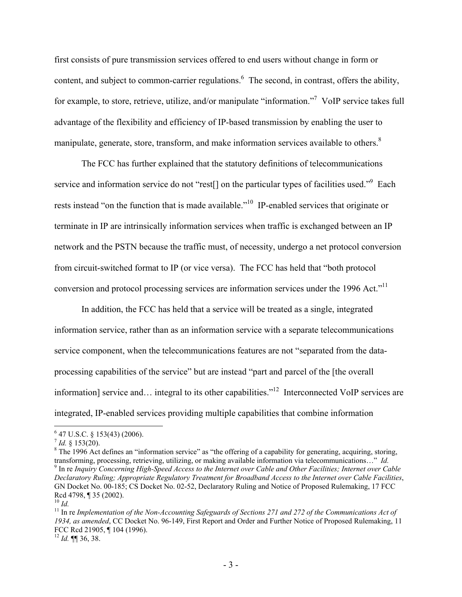first consists of pure transmission services offered to end users without change in form or content, and subject to common-carrier regulations.  $6$  The second, in contrast, offers the ability, for example, to store, retrieve, utilize, and/or manipulate "information."<sup>7</sup> VoIP service takes full advantage of the flexibility and efficiency of IP-based transmission by enabling the user to manipulate, generate, store, transform, and make information services available to others.<sup>8</sup>

 The FCC has further explained that the statutory definitions of telecommunications service and information service do not "rest[] on the particular types of facilities used."<sup>9</sup> Each rests instead "on the function that is made available."<sup>10</sup> IP-enabled services that originate or terminate in IP are intrinsically information services when traffic is exchanged between an IP network and the PSTN because the traffic must, of necessity, undergo a net protocol conversion from circuit-switched format to IP (or vice versa). The FCC has held that "both protocol conversion and protocol processing services are information services under the 1996 Act."<sup>11</sup>

 In addition, the FCC has held that a service will be treated as a single, integrated information service, rather than as an information service with a separate telecommunications service component, when the telecommunications features are not "separated from the dataprocessing capabilities of the service" but are instead "part and parcel of the [the overall information] service and… integral to its other capabilities."<sup>12</sup> Interconnected VoIP services are integrated, IP-enabled services providing multiple capabilities that combine information

<sup>8</sup> The 1996 Act defines an "information service" as "the offering of a capability for generating, acquiring, storing, transforming, processing, retrieving, utilizing, or making available information via telecommunications…" *Id.* <sup>9</sup> <sup>9</sup> In re *Inquiry Concerning High-Speed Access to the Internet over Cable and Other Facilities; Internet over Cable Declaratory Ruling; Appropriate Regulatory Treatment for Broadband Access to the Internet over Cable Facilities*, GN Docket No. 00-185; CS Docket No. 02-52, Declaratory Ruling and Notice of Proposed Rulemaking, 17 FCC Rcd 4798, ¶ 35 (2002). <sup>10</sup> *Id*.

 $\overline{\phantom{a}}$ 

 $6$  47 U.S.C. § 153(43) (2006).

 $^7$  *Id.* § 153(20).

<sup>&</sup>lt;sup>11</sup> In re *Implementation of the Non-Accounting Safeguards of Sections 271 and 272 of the Communications Act of 1934, as amended*, CC Docket No. 96-149, First Report and Order and Further Notice of Proposed Rulemaking, 11 FCC Rcd 21905, ¶ 104 (1996).

 $12$  *Id.* **[1]** 36, 38.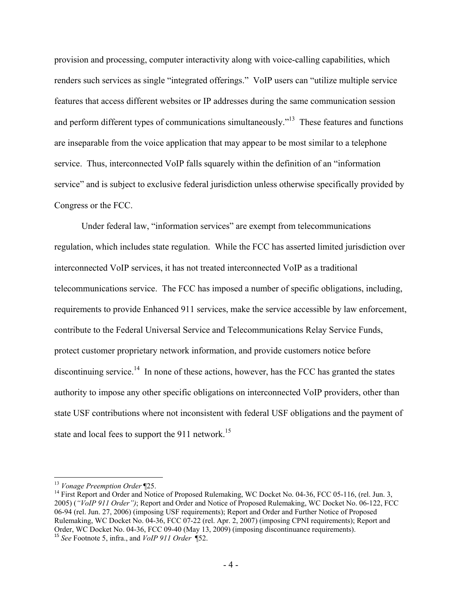provision and processing, computer interactivity along with voice-calling capabilities, which renders such services as single "integrated offerings." VoIP users can "utilize multiple service features that access different websites or IP addresses during the same communication session and perform different types of communications simultaneously."<sup>13</sup> These features and functions are inseparable from the voice application that may appear to be most similar to a telephone service. Thus, interconnected VoIP falls squarely within the definition of an "information service" and is subject to exclusive federal jurisdiction unless otherwise specifically provided by Congress or the FCC.

 Under federal law, "information services" are exempt from telecommunications regulation, which includes state regulation. While the FCC has asserted limited jurisdiction over interconnected VoIP services, it has not treated interconnected VoIP as a traditional telecommunications service. The FCC has imposed a number of specific obligations, including, requirements to provide Enhanced 911 services, make the service accessible by law enforcement, contribute to the Federal Universal Service and Telecommunications Relay Service Funds, protect customer proprietary network information, and provide customers notice before discontinuing service.<sup>14</sup> In none of these actions, however, has the FCC has granted the states authority to impose any other specific obligations on interconnected VoIP providers, other than state USF contributions where not inconsistent with federal USF obligations and the payment of state and local fees to support the 911 network.<sup>15</sup>

 $\overline{\phantom{a}}$ 

<sup>&</sup>lt;sup>13</sup> Vonage Preemption Order ¶25.<br><sup>14</sup> First Report and Order and Notice of Proposed Rulemaking, WC Docket No. 04-36, FCC 05-116, (rel. Jun. 3, 2005) (*"VoIP 911 Order")*; Report and Order and Notice of Proposed Rulemaking, WC Docket No. 06-122, FCC 06-94 (rel. Jun. 27, 2006) (imposing USF requirements); Report and Order and Further Notice of Proposed Rulemaking, WC Docket No. 04-36, FCC 07-22 (rel. Apr. 2, 2007) (imposing CPNI requirements); Report and Order, WC Docket No. 04-36, FCC 09-40 (May 13, 2009) (imposing discontinuance requirements). <sup>15</sup> *See* Footnote 5, infra., and *VoIP 911 Order* ¶52.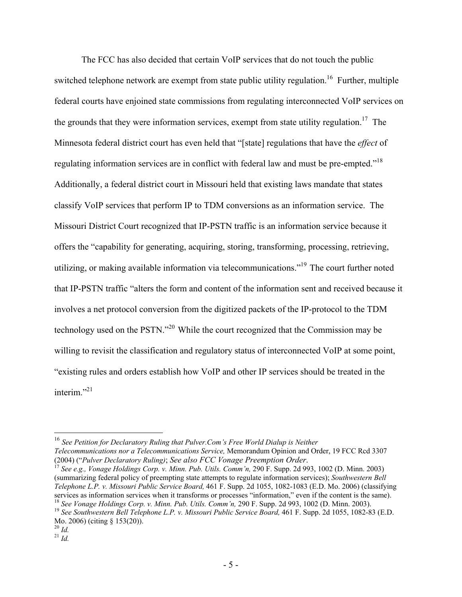The FCC has also decided that certain VoIP services that do not touch the public switched telephone network are exempt from state public utility regulation.<sup>16</sup> Further, multiple federal courts have enjoined state commissions from regulating interconnected VoIP services on the grounds that they were information services, exempt from state utility regulation.<sup>17</sup> The Minnesota federal district court has even held that "[state] regulations that have the *effect* of regulating information services are in conflict with federal law and must be pre-empted."18 Additionally, a federal district court in Missouri held that existing laws mandate that states classify VoIP services that perform IP to TDM conversions as an information service. The Missouri District Court recognized that IP-PSTN traffic is an information service because it offers the "capability for generating, acquiring, storing, transforming, processing, retrieving, utilizing, or making available information via telecommunications."19 The court further noted that IP-PSTN traffic "alters the form and content of the information sent and received because it involves a net protocol conversion from the digitized packets of the IP-protocol to the TDM technology used on the PSTN."20 While the court recognized that the Commission may be willing to revisit the classification and regulatory status of interconnected VoIP at some point, "existing rules and orders establish how VoIP and other IP services should be treated in the interim $^{321}$ 

(2004) ("*Pulver Declaratory Ruling)*; *See also FCC Vonage Preemption Order*. <sup>17</sup> *See e.g., Vonage Holdings Corp. v. Minn. Pub. Utils. Comm'n,* 290 F. Supp. 2d 993, 1002 (D. Minn. 2003) (summarizing federal policy of preempting state attempts to regulate information services); *Southwestern Bell Telephone L.P. v. Missouri Public Service Board,* 461 F. Supp. 2d 1055, 1082-1083 (E.D. Mo. 2006) (classifying services as information services when it transforms or processes "information," even if the content is the sam

l <sup>16</sup> *See Petition for Declaratory Ruling that Pulver.Com's Free World Dialup is Neither Telecommunications nor a Telecommunications Service,* Memorandum Opinion and Order, 19 FCC Rcd 3307

<sup>&</sup>lt;sup>18</sup> See Vonage Holdings Corp. v. Minn. Pub. Utils. Comm'n, 290 F. Supp. 2d 993, 1002 (D. Minn. 2003).<br><sup>19</sup> See Southwestern Bell Telephone L.P. v. Missouri Public Service Board, 461 F. Supp. 2d 1055, 1082-83 (E.D. Mo. 2006) (citing § 153(20)). 20 *Id.* <sup>21</sup> *Id.*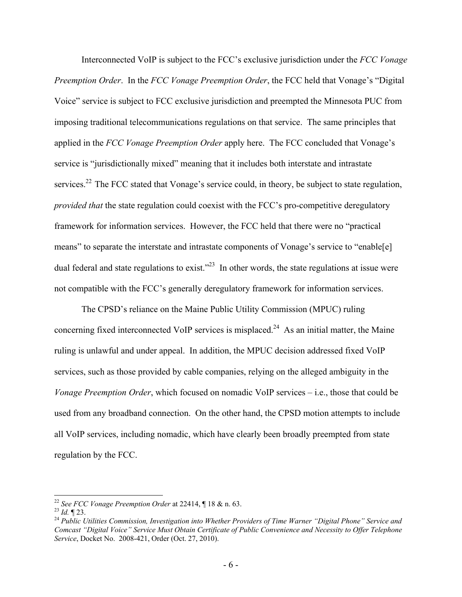Interconnected VoIP is subject to the FCC's exclusive jurisdiction under the *FCC Vonage Preemption Order*. In the *FCC Vonage Preemption Order*, the FCC held that Vonage's "Digital Voice" service is subject to FCC exclusive jurisdiction and preempted the Minnesota PUC from imposing traditional telecommunications regulations on that service. The same principles that applied in the *FCC Vonage Preemption Order* apply here. The FCC concluded that Vonage's service is "jurisdictionally mixed" meaning that it includes both interstate and intrastate services.<sup>22</sup> The FCC stated that Vonage's service could, in theory, be subject to state regulation, *provided that* the state regulation could coexist with the FCC's pro-competitive deregulatory framework for information services. However, the FCC held that there were no "practical means" to separate the interstate and intrastate components of Vonage's service to "enable[e] dual federal and state regulations to exist.<sup> $23$ </sup> In other words, the state regulations at issue were not compatible with the FCC's generally deregulatory framework for information services.

 The CPSD's reliance on the Maine Public Utility Commission (MPUC) ruling concerning fixed interconnected VoIP services is misplaced.<sup>24</sup> As an initial matter, the Maine ruling is unlawful and under appeal. In addition, the MPUC decision addressed fixed VoIP services, such as those provided by cable companies, relying on the alleged ambiguity in the *Vonage Preemption Order*, which focused on nomadic VoIP services – i.e., those that could be used from any broadband connection. On the other hand, the CPSD motion attempts to include all VoIP services, including nomadic, which have clearly been broadly preempted from state regulation by the FCC.

 $\overline{a}$ 

<sup>&</sup>lt;sup>22</sup> *See FCC Vonage Preemption Order* at 22414, ¶ 18 & n. 63.<br><sup>23</sup> *Id.* ¶ 23.<br><sup>24</sup> Public Utilities Commission, Investigation into Whether Providers of Time Warner "Digital Phone" Service and *Comcast "Digital Voice" Service Must Obtain Certificate of Public Convenience and Necessity to Offer Telephone Service*, Docket No. 2008-421, Order (Oct. 27, 2010).